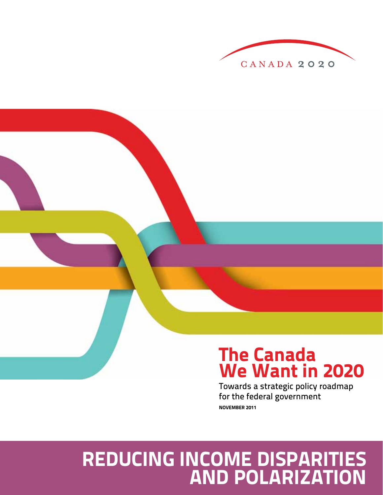

## **The Canada We Want in 2020**

Towards a strategic policy roadmap for the federal government **NOVEMBER 2011**

## **REDUCING INCOME DISPARITIES AND POLARIZATION**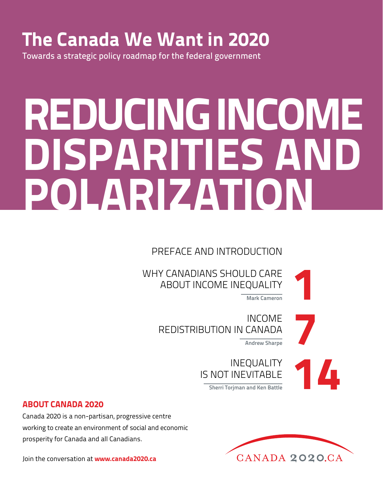## **The Canada We Want in 2020**

Towards a strategic policy roadmap for the federal government

# **REDUCING INCOME DISPARITIES AND POLARIZATION**

PREFACE AND INTRODUCTION

WHY CANADIANS SHOULD CARE ABOUT INCOME INEQUALITY LD CARE<br>QUALITY<br><sup>Mark Cameron</sup>

INCOME REDISTRIBUTION IN CANADA **Andrew Sharpe** 

INEQUALITY IS NOT INEVITABLE **Sherri Torjman and Ken Battle 1444 Control Control of Sherri Torjman and Ken Battle** 

## **ABOUT CANADA 2020**

Canada 2020 is a non-partisan, progressive centre working to create an environment of social and economic prosperity for Canada and all Canadians.

Join the conversation at **www.canada2020.ca**

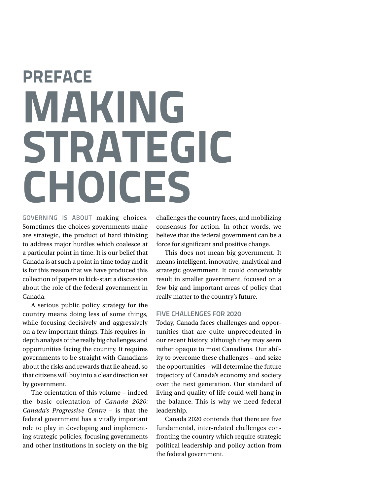# **PREFACE MAKING STRATEGIC CHOICES**

GOVERNING IS ABOUT making choices. Sometimes the choices governments make are strategic, the product of hard thinking to address major hurdles which coalesce at a particular point in time. It is our belief that Canada is at such a point in time today and it is for this reason that we have produced this collection of papers to kick-start a discussion about the role of the federal government in Canada.

A serious public policy strategy for the country means doing less of some things, while focusing decisively and aggressively on a few important things. This requires indepth analysis of the really big challenges and opportunities facing the country. It requires governments to be straight with Canadians about the risks and rewards that lie ahead, so that citizens will buy into a clear direction set by government.

The orientation of this volume – indeed the basic orientation of *Canada 2020: Canada's Progressive Centre* – is that the federal government has a vitally important role to play in developing and implementing strategic policies, focusing governments and other institutions in society on the big

challenges the country faces, and mobilizing consensus for action. In other words, we believe that the federal government can be a force for significant and positive change.

This does not mean big government. It means intelligent, innovative, analytical and strategic government. It could conceivably result in smaller government, focused on a few big and important areas of policy that really matter to the country's future.

### **FIVE CHALLENGES FOR 2020**

Today, Canada faces challenges and opportunities that are quite unprecedented in our recent history, although they may seem rather opaque to most Canadians. Our ability to overcome these challenges – and seize the opportunities – will determine the future trajectory of Canada's economy and society over the next generation. Our standard of living and quality of life could well hang in the balance. This is why we need federal leadership.

Canada 2020 contends that there are five fundamental, inter-related challenges confronting the country which require strategic political leadership and policy action from the federal government.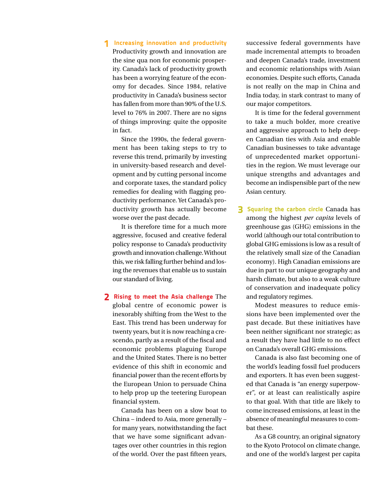### **1 Increasing innovation and productivity**

Productivity growth and innovation are the sine qua non for economic prosperity. Canada's lack of productivity growth has been a worrying feature of the economy for decades. Since 1984, relative productivity in Canada's business sector has fallen from more than 90% of the U.S. level to 76% in 2007. There are no signs of things improving: quite the opposite in fact.

Since the 1990s, the federal government has been taking steps to try to reverse this trend, primarily by investing in university-based research and development and by cutting personal income and corporate taxes, the standard policy remedies for dealing with flagging productivity performance. Yet Canada's productivity growth has actually become worse over the past decade.

It is therefore time for a much more aggressive, focused and creative federal policy response to Canada's productivity growth and innovation challenge. Without this, we risk falling further behind and losing the revenues that enable us to sustain our standard of living.

## **2 Rising to meet the Asia challenge** The global centre of economic power is inexorably shifting from the West to the East. This trend has been underway for twenty years, but it is now reaching a crescendo, partly as a result of the fiscal and economic problems plaguing Europe and the United States. There is no better evidence of this shift in economic and financial power than the recent efforts by the European Union to persuade China to help prop up the teetering European financial system.

Canada has been on a slow boat to China – indeed to Asia, more generally – for many years, notwithstanding the fact that we have some significant advantages over other countries in this region of the world. Over the past fifteen years,

successive federal governments have made incremental attempts to broaden and deepen Canada's trade, investment and economic relationships with Asian economies. Despite such efforts, Canada is not really on the map in China and India today, in stark contrast to many of our major competitors.

It is time for the federal government to take a much bolder, more creative and aggressive approach to help deepen Canadian ties with Asia and enable Canadian businesses to take advantage of unprecedented market opportunities in the region. We must leverage our unique strengths and advantages and become an indispensible part of the new Asian century.

**3 Squaring the carbon circle** Canada has among the highest *per capita* levels of greenhouse gas (GHG) emissions in the world (although our total contribution to global GHG emissions is low as a result of the relatively small size of the Canadian economy). High Canadian emissions are due in part to our unique geography and harsh climate, but also to a weak culture of conservation and inadequate policy and regulatory regimes.

Modest measures to reduce emissions have been implemented over the past decade. But these initiatives have been neither significant nor strategic; as a result they have had little to no effect on Canada's overall GHG emissions.

Canada is also fast becoming one of the world's leading fossil fuel producers and exporters. It has even been suggested that Canada is "an energy superpower", or at least can realistically aspire to that goal. With that title are likely to come increased emissions, at least in the absence of meaningful measures to combat these.

As a G8 country, an original signatory to the Kyoto Protocol on climate change, and one of the world's largest per capita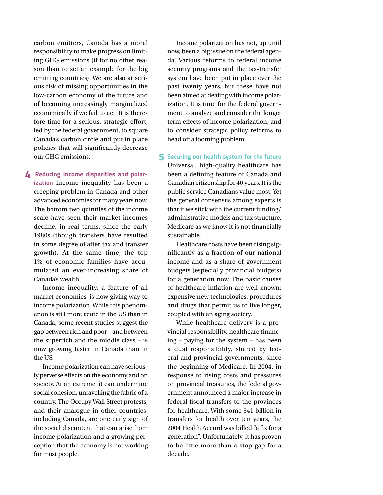carbon emitters, Canada has a moral responsibility to make progress on limiting GHG emissions (if for no other reason than to set an example for the big emitting countries). We are also at serious risk of missing opportunities in the low-carbon economy of the future and of becoming increasingly marginalized economically if we fail to act. It is therefore time for a serious, strategic effort, led by the federal government, to square Canada's carbon circle and put in place policies that will significantly decrease our GHG emissions.

**4 Reducing income disparities and polarization** Income inequality has been a creeping problem in Canada and other advanced economies for many years now. The bottom two quintiles of the income scale have seen their market incomes decline, in real terms, since the early 1980s (though transfers have resulted in some degree of after tax and transfer growth). At the same time, the top 1% of economic families have accumulated an ever-increasing share of Canada's wealth.

Income inequality, a feature of all market economies, is now giving way to income polarization. While this phenomenon is still more acute in the US than in Canada, some recent studies suggest the gap between rich and poor – and between the superrich and the middle class – is now growing faster in Canada than in the US.

Income polarization can have seriously perverse effects on the economy and on society. At an extreme, it can undermine social cohesion, unravelling the fabric of a country. The Occupy Wall Street protests, and their analogue in other countries, including Canada, are one early sign of the social discontent that can arise from income polarization and a growing perception that the economy is not working for most people.

Income polarization has not, up until now, been a big issue on the federal agenda. Various reforms to federal income security programs and the tax-transfer system have been put in place over the past twenty years, but these have not been aimed at dealing with income polarization. It is time for the federal government to analyze and consider the longer term effects of income polarization, and to consider strategic policy reforms to head off a looming problem.

**5 Securing our health system for the future** Universal, high-quality healthcare has been a defining feature of Canada and Canadian citizenship for 40 years. It is the public service Canadians value most. Yet the general consensus among experts is that if we stick with the current funding/ administrative models and tax structure, Medicare as we know it is not financially sustainable.

Healthcare costs have been rising significantly as a fraction of our national income and as a share of government budgets (especially provincial budgets) for a generation now. The basic causes of healthcare inflation are well-known: expensive new technologies, procedures and drugs that permit us to live longer, coupled with an aging society.

While healthcare delivery is a provincial responsibility, healthcare financing – paying for the system – has been a dual responsibility, shared by federal and provincial governments, since the beginning of Medicare. In 2004, in response to rising costs and pressures on provincial treasuries, the federal government announced a major increase in federal fiscal transfers to the provinces for healthcare. With some \$41 billion in transfers for health over ten years, the 2004 Health Accord was billed "a fix for a generation". Unfortunately, it has proven to be little more than a stop-gap for a decade.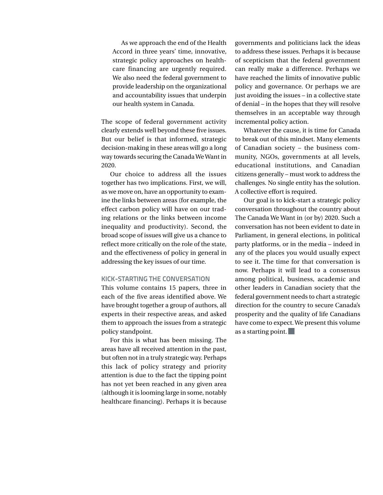As we approach the end of the Health Accord in three years' time, innovative, strategic policy approaches on healthcare financing are urgently required. We also need the federal government to provide leadership on the organizational and accountability issues that underpin our health system in Canada.

The scope of federal government activity clearly extends well beyond these five issues. But our belief is that informed, strategic decision-making in these areas will go a long way towards securing the Canada We Want in 2020.

Our choice to address all the issues together has two implications. First, we will, as we move on, have an opportunity to examine the links between areas (for example, the effect carbon policy will have on our trading relations or the links between income inequality and productivity). Second, the broad scope of issues will give us a chance to reflect more critically on the role of the state, and the effectiveness of policy in general in addressing the key issues of our time.

#### **KICK-STARTING THE CONVERSATION**

This volume contains 15 papers, three in each of the five areas identified above. We have brought together a group of authors, all experts in their respective areas, and asked them to approach the issues from a strategic policy standpoint.

For this is what has been missing. The areas have all received attention in the past, but often not in a truly strategic way. Perhaps this lack of policy strategy and priority attention is due to the fact the tipping point has not yet been reached in any given area (although it is looming large in some, notably healthcare financing). Perhaps it is because

governments and politicians lack the ideas to address these issues. Perhaps it is because of scepticism that the federal government can really make a difference. Perhaps we have reached the limits of innovative public policy and governance. Or perhaps we are just avoiding the issues – in a collective state of denial – in the hopes that they will resolve themselves in an acceptable way through incremental policy action.

Whatever the cause, it is time for Canada to break out of this mindset. Many elements of Canadian society – the business community, NGOs, governments at all levels, educational institutions, and Canadian citizens generally – must work to address the challenges. No single entity has the solution. A collective effort is required.

Our goal is to kick-start a strategic policy conversation throughout the country about The Canada We Want in (or by) 2020. Such a conversation has not been evident to date in Parliament, in general elections, in political party platforms, or in the media – indeed in any of the places you would usually expect to see it. The time for that conversation is now. Perhaps it will lead to a consensus among political, business, academic and other leaders in Canadian society that the federal government needs to chart a strategic direction for the country to secure Canada's prosperity and the quality of life Canadians have come to expect. We present this volume as a starting point.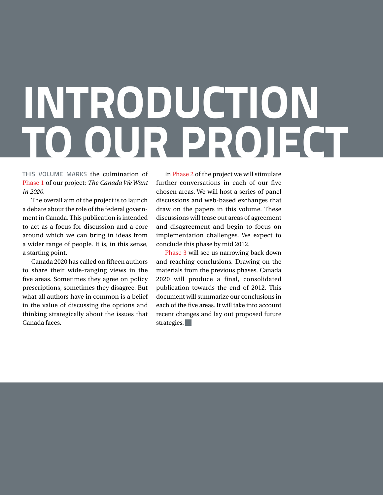# **INTRODUCTION TO OUR PROJECT**

THIS VOLUME MARKS the culmination of Phase 1 of our project: *The Canada We Want in 2020*.

The overall aim of the project is to launch a debate about the role of the federal government in Canada. This publication is intended to act as a focus for discussion and a core around which we can bring in ideas from a wider range of people. It is, in this sense, a starting point.

Canada 2020 has called on fifteen authors to share their wide-ranging views in the five areas. Sometimes they agree on policy prescriptions, sometimes they disagree. But what all authors have in common is a belief in the value of discussing the options and thinking strategically about the issues that Canada faces.

In Phase 2 of the project we will stimulate further conversations in each of our five chosen areas. We will host a series of panel discussions and web-based exchanges that draw on the papers in this volume. These discussions will tease out areas of agreement and disagreement and begin to focus on implementation challenges. We expect to conclude this phase by mid 2012.

Phase 3 will see us narrowing back down and reaching conclusions. Drawing on the materials from the previous phases, Canada 2020 will produce a final, consolidated publication towards the end of 2012. This document will summarize our conclusions in each of the five areas. It will take into account recent changes and lay out proposed future strategies.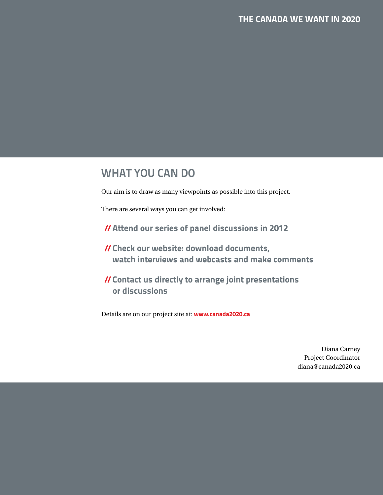## **WHAT YOU CAN DO**

Our aim is to draw as many viewpoints as possible into this project.

There are several ways you can get involved:

**//Attend our series of panel discussions in 2012**

- **//Check our website: download documents, watch interviews and webcasts and make comments**
- **//Contact us directly to arrange joint presentations or discussions**

Details are on our project site at: **www.canada2020.ca**

Diana Carney Project Coordinator diana@canada2020.ca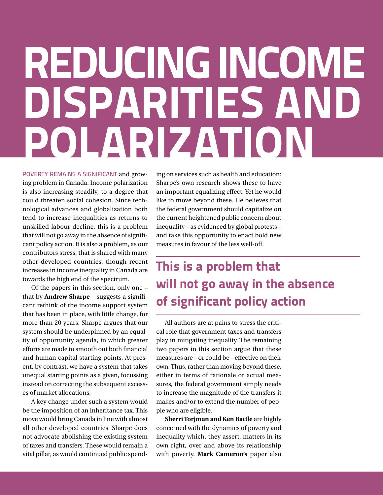# **REDUCING INCOME DISPARITIES AND POLARIZATION**

POVERTY REMAINS A SIGNIFICANT and growing problem in Canada. Income polarization is also increasing steadily, to a degree that could threaten social cohesion. Since technological advances and globalization both tend to increase inequalities as returns to unskilled labour decline, this is a problem that will not go away in the absence of significant policy action. It is also a problem, as our contributors stress, that is shared with many other developed countries, though recent increases in income inequality in Canada are towards the high end of the spectrum.

Of the papers in this section, only one – that by **Andrew Sharpe** – suggests a significant rethink of the income support system that has been in place, with little change, for more than 20 years. Sharpe argues that our system should be underpinned by an equality of opportunity agenda, in which greater efforts are made to smooth out both financial and human capital starting points. At present, by contrast, we have a system that takes unequal starting points as a given, focussing instead on correcting the subsequent excesses of market allocations.

A key change under such a system would be the imposition of an inheritance tax. This move would bring Canada in line with almost all other developed countries. Sharpe does not advocate abolishing the existing system of taxes and transfers. These would remain a vital pillar, as would continued public spending on services such as health and education: Sharpe's own research shows these to have an important equalizing effect. Yet he would like to move beyond these. He believes that the federal government should capitalize on the current heightened public concern about inequality – as evidenced by global protests – and take this opportunity to enact bold new measures in favour of the less well-off.

## **This is a problem that will not go away in the absence of significant policy action**

All authors are at pains to stress the critical role that government taxes and transfers play in mitigating inequality. The remaining two papers in this section argue that these measures are – or could be – effective on their own. Thus, rather than moving beyond these, either in terms of rationale or actual measures, the federal government simply needs to increase the magnitude of the transfers it makes and/or to extend the number of people who are eligible.

**Sherri Torjman and Ken Battle** are highly concerned with the dynamics of poverty and inequality which, they assert, matters in its own right, over and above its relationship with poverty. **Mark Cameron's** paper also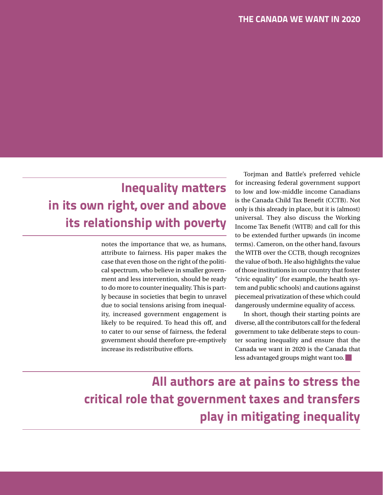## **Inequality matters in its own right, over and above its relationship with poverty**

notes the importance that we, as humans, attribute to fairness. His paper makes the case that even those on the right of the political spectrum, who believe in smaller government and less intervention, should be ready to do more to counter inequality. This is partly because in societies that begin to unravel due to social tensions arising from inequality, increased government engagement is likely to be required. To head this off, and to cater to our sense of fairness, the federal government should therefore pre-emptively increase its redistributive efforts.

Torjman and Battle's preferred vehicle for increasing federal government support to low and low-middle income Canadians is the Canada Child Tax Benefit (CCTB). Not only is this already in place, but it is (almost) universal. They also discuss the Working Income Tax Benefit (WITB) and call for this to be extended further upwards (in income terms). Cameron, on the other hand, favours the WITB over the CCTB, though recognizes the value of both. He also highlights the value of those institutions in our country that foster "civic equality" (for example, the health system and public schools) and cautions against piecemeal privatization of these which could dangerously undermine equality of access.

In short, though their starting points are diverse, all the contributors call for the federal government to take deliberate steps to counter soaring inequality and ensure that the Canada we want in 2020 is the Canada that less advantaged groups might want too.

**All authors are at pains to stress the critical role that government taxes and transfers play in mitigating inequality**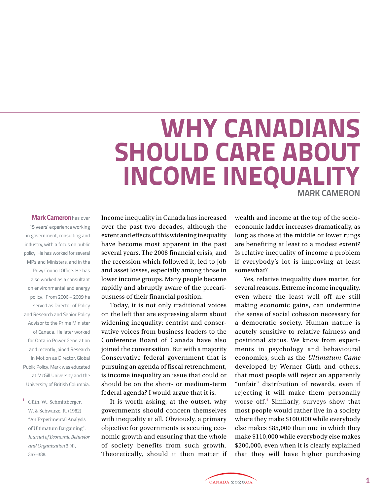## **WHY CANADIANS SHOULD CARE ABOUT INCOME INEQUALITY MARK CAMERON**

#### **Mark Cameron**has over

15 years' experience working in government, consulting and industry, with a focus on public policy. He has worked for several MPs and Ministers, and in the Privy Council Office. He has also worked as a consultant on environmental and energy policy. From 2006 – 2009 he served as Director of Policy and Research and Senior Policy Advisor to the Prime Minister of Canada. He later worked for Ontario Power Generation and recently joined Research In Motion as Director, Global Public Policy. Mark was educated at McGill University and the University of British Columbia.

**<sup>1</sup>** Güth, W., Schmittberger, W. & Schwarze, R. (1982) "An Experimental Analysis of Ultimatum Bargaining". *Journal of Economic Behavior and Organization* 3 (4), 367–388.

Income inequality in Canada has increased over the past two decades, although the extent and effects of this widening inequality have become most apparent in the past several years. The 2008 financial crisis, and the recession which followed it, led to job and asset losses, especially among those in lower income groups. Many people became rapidly and abruptly aware of the precariousness of their financial position.

Today, it is not only traditional voices on the left that are expressing alarm about widening inequality: centrist and conservative voices from business leaders to the Conference Board of Canada have also joined the conversation. But with a majority Conservative federal government that is pursuing an agenda of fiscal retrenchment, is income inequality an issue that could or should be on the short- or medium-term federal agenda? I would argue that it is.

It is worth asking, at the outset, why governments should concern themselves with inequality at all. Obviously, a primary objective for governments is securing economic growth and ensuring that the whole of society benefits from such growth. Theoretically, should it then matter if wealth and income at the top of the socioeconomic ladder increases dramatically, as long as those at the middle or lower rungs are benefiting at least to a modest extent? Is relative inequality of income a problem if everybody's lot is improving at least somewhat?

Yes, relative inequality does matter, for several reasons. Extreme income inequality, even where the least well off are still making economic gains, can undermine the sense of social cohesion necessary for a democratic society. Human nature is acutely sensitive to relative fairness and positional status. We know from experiments in psychology and behavioural economics, such as the *Ultimatum Game*  developed by Werner Güth and others, that most people will reject an apparently "unfair" distribution of rewards, even if rejecting it will make them personally worse off.**<sup>1</sup>** Similarly, surveys show that most people would rather live in a society where they make \$100,000 while everybody else makes \$85,000 than one in which they make \$110,000 while everybody else makes \$200,000, even when it is clearly explained that they will have higher purchasing

CANADA 2020.CA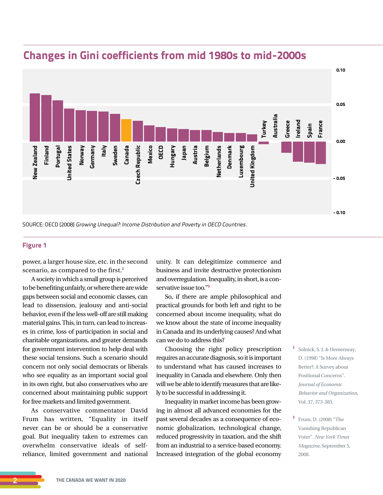

## **Changes in Gini coefficients from mid 1980s to mid-2000s**

SOURCE: OECD (2008) Growing Unequal?: Income Distribution and Poverty in OECD Countries.

### **Figure 1**

power, a larger house size, etc. in the second scenario, as compared to the first.**<sup>2</sup>**

A society in which a small group is perceived to be benefiting unfairly, or where there are wide gaps between social and economic classes, can lead to dissension, jealousy and anti-social behavior, even if the less well-off are still making material gains. This, in turn, can lead to increases in crime, loss of participation in social and charitable organizations, and greater demands for government intervention to help deal with these social tensions. Such a scenario should concern not only social democrats or liberals who see equality as an important social goal in its own right, but also conservatives who are concerned about maintaining public support for free markets and limited government.

As conservative commentator David Frum has written, "Equality in itself never can be or should be a conservative goal. But inequality taken to extremes can overwhelm conservative ideals of selfreliance, limited government and national unity. It can delegitimize commerce and business and invite destructive protectionism and overregulation. Inequality, in short, is a conservative issue too."**<sup>3</sup>**

So, if there are ample philosophical and practical grounds for both left and right to be concerned about income inequality, what do we know about the state of income inequality in Canada and its underlying causes? And what can we do to address this?

Choosing the right policy prescription requires an accurate diagnosis, so it is important to understand what has caused increases to inequality in Canada and elsewhere. Only then will we be able to identify measures that are likely to be successful in addressing it.

Inequality in market income has been growing in almost all advanced economies for the past several decades as a consequence of economic globalization, technological change, reduced progressivity in taxation, and the shift from an industrial to a service-based economy. Increased integration of the global economy

- **<sup>2</sup>** Solnick, S. J. & Hemenway, D. (1998) "Is More Always Better?: A Survey about Positional Concerns". *Journal of Economic Behavior and Organization*, Vol. 37, 373-383.
- **<sup>3</sup>** Frum, D. (2008) "The Vanishing Republican Voter". *New York Times Magazine*, September 5, 2008.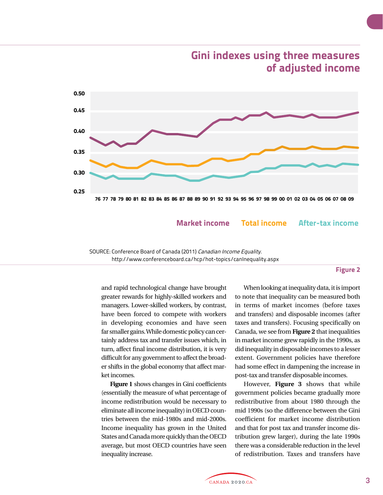

**Gini indexes using three measures of adjusted income**

**Market income Total income After-tax income**

SOURCE: Conference Board of Canada (2011) Canadian Income Equality. http://www.conferenceboard.ca/hcp/hot-topics/canInequality.aspx

#### **Figure 2**

and rapid technological change have brought greater rewards for highly-skilled workers and managers. Lower-skilled workers, by contrast, have been forced to compete with workers in developing economies and have seen far smaller gains. While domestic policy can certainly address tax and transfer issues which, in turn, affect final income distribution, it is very difficult for any government to affect the broader shifts in the global economy that affect market incomes.

**Figure 1** shows changes in Gini coefficients (essentially the measure of what percentage of income redistribution would be necessary to eliminate all income inequality) in OECD countries between the mid-1980s and mid-2000s. Income inequality has grown in the United States and Canada more quickly than the OECD average, but most OECD countries have seen inequality increase.

When looking at inequality data, it is import to note that inequality can be measured both in terms of market incomes (before taxes and transfers) and disposable incomes (after taxes and transfers). Focusing specifically on Canada, we see from **Figure 2** that inequalities in market income grew rapidly in the 1990s, as did inequality in disposable incomes to a lesser extent. Government policies have therefore had some effect in dampening the increase in post-tax and transfer disposable incomes.

However, **Figure 3** shows that while government policies became gradually more redistributive from about 1980 through the mid 1990s (so the difference between the Gini coefficient for market income distribution and that for post tax and transfer income distribution grew larger), during the late 1990s there was a considerable reduction in the level of redistribution. Taxes and transfers have

.<br>CANADA 2020.CA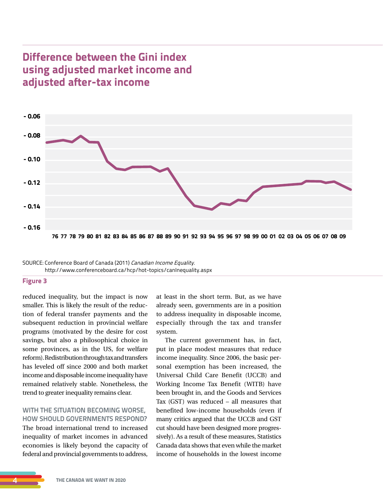## **Difference between the Gini index using adjusted market income and adjusted after-tax income**



SOURCE: Conference Board of Canada (2011) Canadian Income Equality. http://www.conferenceboard.ca/hcp/hot-topics/canInequality.aspx

#### **Figure 3**

reduced inequality, but the impact is now smaller. This is likely the result of the reduction of federal transfer payments and the subsequent reduction in provincial welfare programs (motivated by the desire for cost savings, but also a philosophical choice in some provinces, as in the US, for welfare reform). Redistribution through tax and transfers has leveled off since 2000 and both market income and disposable income inequality have remained relatively stable. Nonetheless, the trend to greater inequality remains clear.

## **WITH THE SITUATION BECOMING WORSE, HOW SHOULD GOVERNMENTS RESPOND?**

The broad international trend to increased inequality of market incomes in advanced economies is likely beyond the capacity of federal and provincial governments to address,

at least in the short term. But, as we have already seen, governments are in a position to address inequality in disposable income, especially through the tax and transfer system.

The current government has, in fact, put in place modest measures that reduce income inequality. Since 2006, the basic personal exemption has been increased, the Universal Child Care Benefit (UCCB) and Working Income Tax Benefit (WITB) have been brought in, and the Goods and Services Tax (GST) was reduced – all measures that benefited low-income households (even if many critics argued that the UCCB and GST cut should have been designed more progressively). As a result of these measures, Statistics Canada data shows that even while the market income of households in the lowest income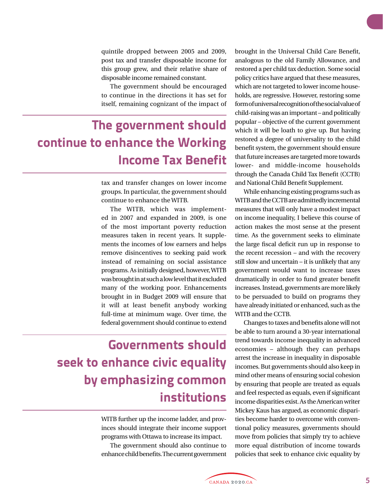quintile dropped between 2005 and 2009, post tax and transfer disposable income for this group grew, and their relative share of disposable income remained constant.

The government should be encouraged to continue in the directions it has set for itself, remaining cognizant of the impact of

## **The government should continue to enhance the Working Income Tax Benefit**

tax and transfer changes on lower income groups. In particular, the government should continue to enhance the WITB.

The WITB, which was implemented in 2007 and expanded in 2009, is one of the most important poverty reduction measures taken in recent years. It supplements the incomes of low earners and helps remove disincentives to seeking paid work instead of remaining on social assistance programs. As initially designed, however, WITB was brought in at such a low level that it excluded many of the working poor. Enhancements brought in in Budget 2009 will ensure that it will at least benefit anybody working full-time at minimum wage. Over time, the federal government should continue to extend

## **Governments should seek to enhance civic equality by emphasizing common institutions**

WITB further up the income ladder, and provinces should integrate their income support programs with Ottawa to increase its impact.

The government should also continue to enhance child benefits. The current government brought in the Universal Child Care Benefit, analogous to the old Family Allowance, and restored a per child tax deduction. Some social policy critics have argued that these measures, which are not targeted to lower income households, are regressive. However, restoring some form of universal recognition of the social value of child-raising was an important – and politically popular – objective of the current government which it will be loath to give up. But having restored a degree of universality to the child benefit system, the government should ensure that future increases are targeted more towards lower- and middle-income households through the Canada Child Tax Benefit (CCTB) and National Child Benefit Supplement.

While enhancing existing programs such as WITB and the CCTB are admittedly incremental measures that will only have a modest impact on income inequality, I believe this course of action makes the most sense at the present time. As the government seeks to eliminate the large fiscal deficit run up in response to the recent recession – and with the recovery still slow and uncertain – it is unlikely that any government would want to increase taxes dramatically in order to fund greater benefit increases. Instead, governments are more likely to be persuaded to build on programs they have already initiated or enhanced, such as the WITB and the CCTB.

Changes to taxes and benefits alone will not be able to turn around a 30-year international trend towards income inequality in advanced economies – although they can perhaps arrest the increase in inequality in disposable incomes. But governments should also keep in mind other means of ensuring social cohesion by ensuring that people are treated as equals and feel respected as equals, even if significant income disparities exist. As the American writer Mickey Kaus has argued, as economic disparities become harder to overcome with conventional policy measures, governments should move from policies that simply try to achieve more equal distribution of income towards policies that seek to enhance civic equality by

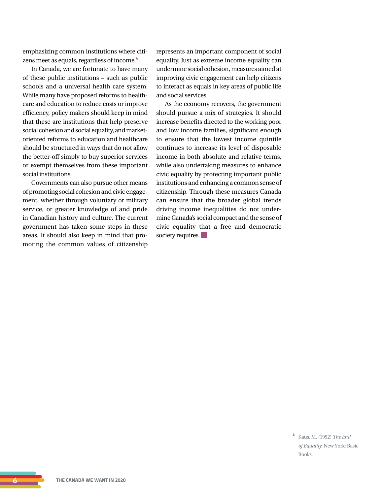emphasizing common institutions where citizens meet as equals, regardless of income.**<sup>4</sup>**

In Canada, we are fortunate to have many of these public institutions – such as public schools and a universal health care system. While many have proposed reforms to healthcare and education to reduce costs or improve efficiency, policy makers should keep in mind that these are institutions that help preserve social cohesion and social equality, and marketoriented reforms to education and healthcare should be structured in ways that do not allow the better-off simply to buy superior services or exempt themselves from these important social institutions.

Governments can also pursue other means of promoting social cohesion and civic engagement, whether through voluntary or military service, or greater knowledge of and pride in Canadian history and culture. The current government has taken some steps in these areas. It should also keep in mind that promoting the common values of citizenship represents an important component of social equality. Just as extreme income equality can undermine social cohesion, measures aimed at improving civic engagement can help citizens to interact as equals in key areas of public life and social services.

As the economy recovers, the government should pursue a mix of strategies. It should increase benefits directed to the working poor and low income families, significant enough to ensure that the lowest income quintile continues to increase its level of disposable income in both absolute and relative terms, while also undertaking measures to enhance civic equality by protecting important public institutions and enhancing a common sense of citizenship. Through these measures Canada can ensure that the broader global trends driving income inequalities do not undermine Canada's social compact and the sense of civic equality that a free and democratic society requires.

> **<sup>4</sup>** Kaus, M. (1992) *The End of Equality.* New York: Basic Books.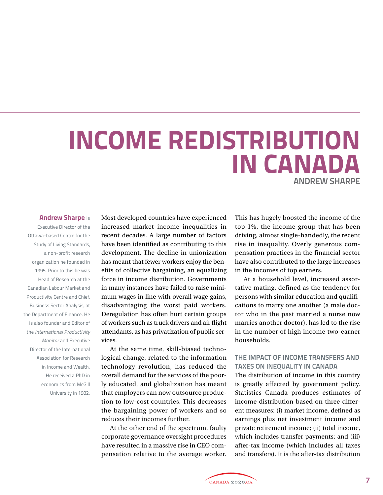# **INCOME REDISTRIBUTION IN CANADA**

## **ANDREW SHARPE**

#### **Andrew Sharpe** is

Executive Director of the Ottawa-based Centre for the Study of Living Standards, a non-profit research organization he founded in 1995. Prior to this he was Head of Research at the Canadian Labour Market and Productivity Centre and Chief, Business Sector Analysis, at the Department of Finance. He is also founder and Editor of the International Productivity Monitor and Executive Director of the International Association for Research in Income and Wealth. He received a PhD in economics from McGill University in 1982.

Most developed countries have experienced increased market income inequalities in recent decades. A large number of factors have been identified as contributing to this development. The decline in unionization has meant that fewer workers enjoy the benefits of collective bargaining, an equalizing force in income distribution. Governments in many instances have failed to raise minimum wages in line with overall wage gains, disadvantaging the worst paid workers. Deregulation has often hurt certain groups of workers such as truck drivers and air flight attendants, as has privatization of public services.

At the same time, skill-biased technological change, related to the information technology revolution, has reduced the overall demand for the services of the poorly educated, and globalization has meant that employers can now outsource production to low-cost countries. This decreases the bargaining power of workers and so reduces their incomes further.

At the other end of the spectrum, faulty corporate governance oversight procedures have resulted in a massive rise in CEO compensation relative to the average worker. This has hugely boosted the income of the top 1%, the income group that has been driving, almost single-handedly, the recent rise in inequality. Overly generous compensation practices in the financial sector have also contributed to the large increases in the incomes of top earners.

At a household level, increased assortative mating, defined as the tendency for persons with similar education and qualifications to marry one another (a male doctor who in the past married a nurse now marries another doctor), has led to the rise in the number of high income two-earner households.

## **THE IMPACT OF INCOME TRANSFERS AND TAXES ON INEQUALITY IN CANADA**

The distribution of income in this country is greatly affected by government policy. Statistics Canada produces estimates of income distribution based on three different measures: (i) market income, defined as earnings plus net investment income and private retirement income; (ii) total income, which includes transfer payments; and (iii) after-tax income (which includes all taxes and transfers). It is the after-tax distribution

CANADA 2020.CA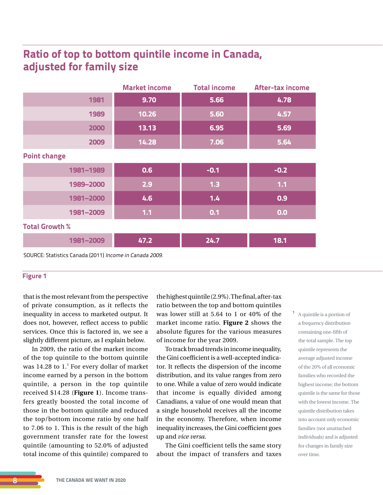## **Ratio of top to bottom quintile income in Canada, adjusted for family size**

|                       | <b>Market income</b> | <b>Total income</b> | <b>After-tax income</b> |
|-----------------------|----------------------|---------------------|-------------------------|
| 1981                  | 9.70                 | 5.66                | 4.78                    |
| 1989                  | 10.26                | 5.60                | 4.57                    |
| 2000                  | 13.13                | 6.95                | 5.69                    |
| 2009                  | 14.28                | 7.06                | 5.64                    |
| <b>Point change</b>   |                      |                     |                         |
| 1981-1989             | 0.6                  | $-0.1$              | $-0.2$                  |
| 1989-2000             | 2.9                  | 1.3                 | $1.1$                   |
| 1981-2000             | 4.6                  | $1.4$               | 0.9                     |
| 1981-2009             | $1.1$                | 0.1                 | 0.0                     |
| <b>Total Growth %</b> |                      |                     |                         |
| 1981-2009             | 47.2                 | 24.7                | 18.1                    |

SOURCE: Statistics Canada (2011) Income in Canada 2009.

#### **Figure 1**

that is the most relevant from the perspective of private consumption, as it reflects the inequality in access to marketed output. It does not, however, reflect access to public services. Once this is factored in, we see a slightly different picture, as I explain below.

In 2009, the ratio of the market income of the top quintile to the bottom quintile was 14.28 to 1.**<sup>1</sup>** For every dollar of market income earned by a person in the bottom quintile, a person in the top quintile received \$14.28 (**Figure 1**). Income transfers greatly boosted the total income of those in the bottom quintile and reduced the top/bottom income ratio by one half to 7.06 to 1. This is the result of the high government transfer rate for the lowest quintile (amounting to 52.0% of adjusted total income of this quintile) compared to

the highest quintile (2.9%). The final, after-tax ratio between the top and bottom quintiles was lower still at 5.64 to 1 or 40% of the market income ratio. **Figure 2** shows the absolute figures for the various measures of income for the year 2009.

To track broad trends in income inequality, the Gini coefficient is a well-accepted indicator. It reflects the dispersion of the income distribution, and its value ranges from zero to one. While a value of zero would indicate that income is equally divided among Canadians, a value of one would mean that a single household receives all the income in the economy. Therefore, when income inequality increases, the Gini coefficient goes up and *vice versa*.

The Gini coefficient tells the same story about the impact of transfers and taxes **<sup>1</sup>** A quintile is a portion of a frequency distribution containing one-fifth of the total sample. The top quintile represents the average adjusted income of the 20% of all economic families who recorded the highest income; the bottom quintile is the same for those with the lowest income. The quintile distribution takes into account only economic families (not unattached individuals) and is adjusted for changes in family size over time.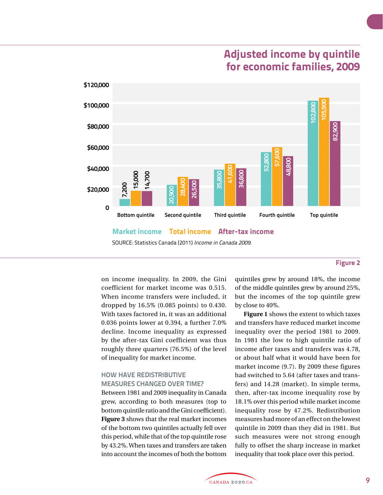## **Adjusted income by quintile for economic families, 2009**



**Market income Total income After-tax income**

SOURCE: Statistics Canada (2011) Income in Canada 2009.

#### **Figure 2**

on income inequality. In 2009, the Gini coefficient for market income was 0.515. When income transfers were included, it dropped by 16.5% (0.085 points) to 0.430. With taxes factored in, it was an additional 0.036 points lower at 0.394, a further 7.0% decline. Income inequality as expressed by the after-tax Gini coefficient was thus roughly three quarters (76.5%) of the level of inequality for market income.

## **HOW HAVE REDISTRIBUTIVE MEASURES CHANGED OVER TIME?**

Between 1981 and 2009 inequality in Canada grew, according to both measures (top to bottom quintile ratio and the Gini coefficient). **Figure 3** shows that the real market incomes of the bottom two quintiles actually fell over this period, while that of the top quintile rose by 43.2%. When taxes and transfers are taken into account the incomes of both the bottom

quintiles grew by around 18%, the income of the middle quintiles grew by around 25%, but the incomes of the top quintile grew by close to 40%.

**Figure 1** shows the extent to which taxes and transfers have reduced market income inequality over the period 1981 to 2009. In 1981 the low to high quintile ratio of income after taxes and transfers was 4.78, or about half what it would have been for market income (9.7). By 2009 these figures had switched to 5.64 (after taxes and transfers) and 14.28 (market). In simple terms, then, after-tax income inequality rose by 18.1% over this period while market income inequality rose by 47.2%. Redistribution measures had more of an effect on the lowest quintile in 2009 than they did in 1981. But such measures were not strong enough fully to offset the sharp increase in market inequality that took place over this period.

CANADA 2020.CA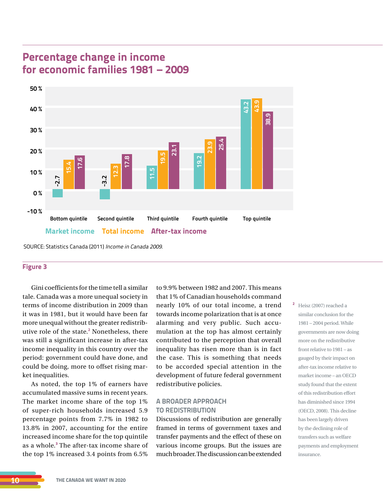## **Percentage change in income for economic families 1981 – 2009**



SOURCE: Statistics Canada (2011) Income in Canada 2009.

### **Figure 3**

Gini coefficients for the time tell a similar tale. Canada was a more unequal society in terms of income distribution in 2009 than it was in 1981, but it would have been far more unequal without the greater redistributive role of the state.**<sup>2</sup>** Nonetheless, there was still a significant increase in after-tax income inequality in this country over the period: government could have done, and could be doing, more to offset rising market inequalities.

As noted, the top 1% of earners have accumulated massive sums in recent years. The market income share of the top 1% of super-rich households increased 5.9 percentage points from 7.7% in 1982 to 13.8% in 2007, accounting for the entire increased income share for the top quintile as a whole.**<sup>3</sup>** The after-tax income share of the top 1% increased 3.4 points from 6.5%

to 9.9% between 1982 and 2007. This means that 1% of Canadian households command nearly 10% of our total income, a trend towards income polarization that is at once alarming and very public. Such accumulation at the top has almost certainly contributed to the perception that overall inequality has risen more than is in fact the case. This is something that needs to be accorded special attention in the development of future federal government redistributive policies.

## **A BROADER APPROACH TO REDISTRIBUTION**

Discussions of redistribution are generally framed in terms of government taxes and transfer payments and the effect of these on various income groups. But the issues are much broader. The discussion can be extended **<sup>2</sup>** Heisz (2007) reached a similar conclusion for the 1981 – 2004 period. While governments are now doing more on the redistributive front relative to 1981 – as gauged by their impact on after-tax income relative to market income – an OECD study found that the extent of this redistribution effort has diminished since 1994 (OECD, 2008). This decline has been largely driven by the declining role of transfers such as welfare payments and employment insurance.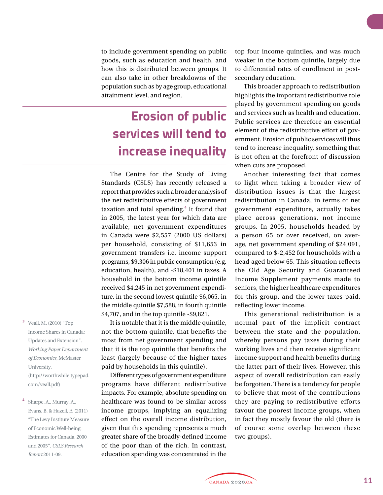to include government spending on public goods, such as education and health, and how this is distributed between groups. It can also take in other breakdowns of the population such as by age group, educational attainment level, and region.

## **Erosion of public services will tend to increase inequality**

The Centre for the Study of Living Standards (CSLS) has recently released a report that provides such a broader analysis of the net redistributive effects of government taxation and total spending.**<sup>4</sup>** It found that in 2005, the latest year for which data are available, net government expenditures in Canada were \$2,557 (2000 US dollars) per household, consisting of \$11,653 in government transfers i.e. income support programs, \$9,306 in public consumption (e.g. education, health), and -\$18,401 in taxes. A household in the bottom income quintile received \$4,245 in net government expenditure, in the second lowest quintile \$6,065, in the middle quintile \$7,588, in fourth quintile \$4,707, and in the top quintile -\$9,821.

It is notable that it is the middle quintile, not the bottom quintile, that benefits the most from net government spending and that it is the top quintile that benefits the least (largely because of the higher taxes paid by households in this quintile).

Different types of government expenditure programs have different redistributive impacts. For example, absolute spending on healthcare was found to be similar across income groups, implying an equalizing effect on the overall income distribution, given that this spending represents a much greater share of the broadly-defined income of the poor than of the rich. In contrast, education spending was concentrated in the

top four income quintiles, and was much weaker in the bottom quintile, largely due to differential rates of enrollment in postsecondary education.

This broader approach to redistribution highlights the important redistributive role played by government spending on goods and services such as health and education. Public services are therefore an essential element of the redistributive effort of government. Erosion of public services will thus tend to increase inequality, something that is not often at the forefront of discussion when cuts are proposed.

Another interesting fact that comes to light when taking a broader view of distribution issues is that the largest redistribution in Canada, in terms of net government expenditure, actually takes place across generations, not income groups. In 2005, households headed by a person 65 or over received, on average, net government spending of \$24,091, compared to \$-2,452 for households with a head aged below 65. This situation reflects the Old Age Security and Guaranteed Income Supplement payments made to seniors, the higher healthcare expenditures for this group, and the lower taxes paid, reflecting lower income.

This generational redistribution is a normal part of the implicit contract between the state and the population, whereby persons pay taxes during their working lives and then receive significant income support and health benefits during the latter part of their lives. However, this aspect of overall redistribution can easily be forgotten. There is a tendency for people to believe that most of the contributions they are paying to redistributive efforts favour the poorest income groups, when in fact they mostly favour the old (there is of course some overlap between these two groups).

- **<sup>3</sup>** Veall, M. (2010) "Top Income Shares in Canada: Updates and Extension". *Working Paper Department of Economics,* McMaster University. (http://worthwhile.typepad. com/veall.pdf)
- **<sup>4</sup>** Sharpe, A., Murray, A., Evans, B. & Hazell, E. (2011) "The Levy Institute Measure of Economic Well-being: Estimates for Canada, 2000 and 2005". *CSLS Research Report* 2011-09.

CANADA 2020.CA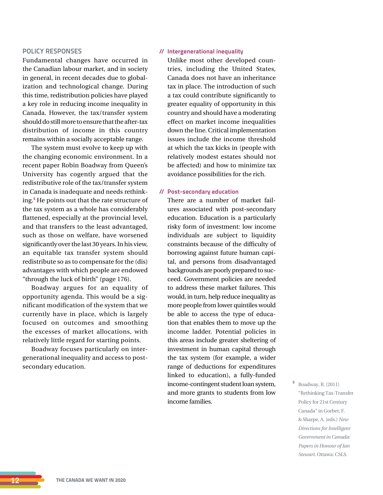### **POLICY RESPONSES**

Fundamental changes have occurred in the Canadian labour market, and in society in general, in recent decades due to globalization and technological change. During this time, redistribution policies have played a key role in reducing income inequality in Canada. However, the tax/transfer system should do still more to ensure that the after-tax distribution of income in this country remains within a socially acceptable range.

The system must evolve to keep up with the changing economic environment. In a recent paper Robin Boadway from Queen's University has cogently argued that the redistributive role of the tax/transfer system in Canada is inadequate and needs rethinking.**<sup>5</sup>** He points out that the rate structure of the tax system as a whole has considerably flattened, especially at the provincial level, and that transfers to the least advantaged, such as those on welfare, have worsened significantly over the last 30 years. In his view, an equitable tax transfer system should redistribute so as to compensate for the (dis) advantages with which people are endowed "through the luck of birth" (page 176).

Boadway argues for an equality of opportunity agenda. This would be a significant modification of the system that we currently have in place, which is largely focused on outcomes and smoothing the excesses of market allocations, with relatively little regard for starting points.

Boadway focuses particularly on intergenerational inequality and access to postsecondary education.

#### **// Intergenerational inequality**

Unlike most other developed countries, including the United States, Canada does not have an inheritance tax in place. The introduction of such a tax could contribute significantly to greater equality of opportunity in this country and should have a moderating effect on market income inequalities down the line. Critical implementation issues include the income threshold at which the tax kicks in (people with relatively modest estates should not be affected) and how to minimize tax avoidance possibilities for the rich.

#### **// Post-secondary education**

There are a number of market failures associated with post-secondary education. Education is a particularly risky form of investment: low income individuals are subject to liquidity constraints because of the difficulty of borrowing against future human capital, and persons from disadvantaged backgrounds are poorly prepared to succeed. Government policies are needed to address these market failures. This would, in turn, help reduce inequality as more people from lower quintiles would be able to access the type of education that enables them to move up the income ladder. Potential policies in this areas include greater sheltering of investment in human capital through the tax system (for example, a wider range of deductions for expenditures linked to education), a fully-funded income-contingent student loan system, and more grants to students from low income families.

**<sup>5</sup>** Boadway, R. (2011) "Rethinking Tax-Transfer Policy for 21st Century Canada" in Gorbet, F. & Sharpe, A. (eds.) *New Directions for Intelligent Government in Canada: Papers in Honour of Ian Stewart*. Ottawa: CSLS.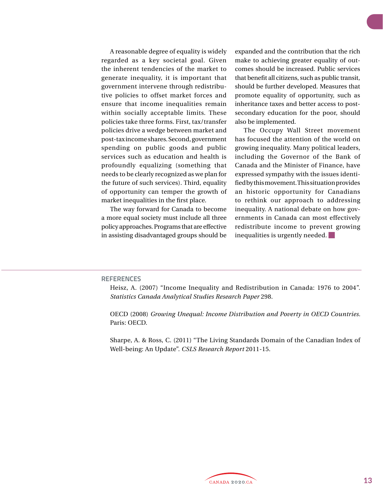A reasonable degree of equality is widely regarded as a key societal goal. Given the inherent tendencies of the market to generate inequality, it is important that government intervene through redistributive policies to offset market forces and ensure that income inequalities remain within socially acceptable limits. These policies take three forms. First, tax/transfer policies drive a wedge between market and post-tax income shares. Second, government spending on public goods and public services such as education and health is profoundly equalizing (something that needs to be clearly recognized as we plan for the future of such services). Third, equality of opportunity can temper the growth of market inequalities in the first place.

The way forward for Canada to become a more equal society must include all three policy approaches. Programs that are effective in assisting disadvantaged groups should be

expanded and the contribution that the rich make to achieving greater equality of outcomes should be increased. Public services that benefit all citizens, such as public transit, should be further developed. Measures that promote equality of opportunity, such as inheritance taxes and better access to postsecondary education for the poor, should also be implemented.

The Occupy Wall Street movement has focused the attention of the world on growing inequality. Many political leaders, including the Governor of the Bank of Canada and the Minister of Finance, have expressed sympathy with the issues identified by this movement. This situation provides an historic opportunity for Canadians to rethink our approach to addressing inequality. A national debate on how governments in Canada can most effectively redistribute income to prevent growing inequalities is urgently needed.

#### **REFERENCES**

Heisz, A. (2007) "Income Inequality and Redistribution in Canada: 1976 to 2004". *Statistics Canada Analytical Studies Research Paper* 298.

OECD (2008) *Growing Unequal: Income Distribution and Poverty in OECD Countries.*  Paris: OECD.

Sharpe, A. & Ross, C. (2011) "The Living Standards Domain of the Canadian Index of Well-being: An Update". *CSLS Research Report* 2011-15.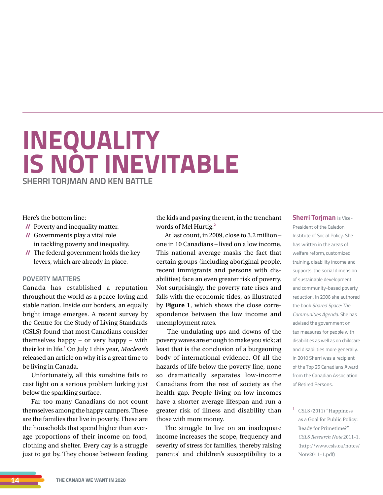## **INEQUALITY IS NOT INEVITABLE SHERRI TORJMAN AND KEN BATTLE**

Here's the bottom line:

- **//** Poverty and inequality matter.
- **//** Governments play a vital role in tackling poverty and inequality.
- **//** The federal government holds the key levers, which are already in place.

### **POVERTY MATTERS**

Canada has established a reputation throughout the world as a peace-loving and stable nation. Inside our borders, an equally bright image emerges. A recent survey by the Centre for the Study of Living Standards (CSLS) found that most Canadians consider themselves happy – or very happy – with their lot in life.**<sup>1</sup>** On July 1 this year, *Maclean's*  released an article on why it is a great time to be living in Canada.

Unfortunately, all this sunshine fails to cast light on a serious problem lurking just below the sparkling surface.

Far too many Canadians do not count themselves among the happy campers. These are the families that live in poverty. These are the households that spend higher than average proportions of their income on food, clothing and shelter. Every day is a struggle just to get by. They choose between feeding

the kids and paying the rent, in the trenchant words of Mel Hurtig.**<sup>2</sup>**

At last count, in 2009, close to 3.2 million – one in 10 Canadians – lived on a low income. This national average masks the fact that certain groups (including aboriginal people, recent immigrants and persons with disabilities) face an even greater risk of poverty. Not surprisingly, the poverty rate rises and falls with the economic tides, as illustrated by **Figure 1**, which shows the close correspondence between the low income and unemployment rates.

 The undulating ups and downs of the poverty waves are enough to make you sick; at least that is the conclusion of a burgeoning body of international evidence. Of all the hazards of life below the poverty line, none so dramatically separates low-income Canadians from the rest of society as the health gap. People living on low incomes have a shorter average lifespan and run a greater risk of illness and disability than those with more money.

The struggle to live on an inadequate income increases the scope, frequency and severity of stress for families, thereby raising parents' and children's susceptibility to a

**Sherri Toriman** is Vice-President of the Caledon Institute of Social Policy. She has written in the areas of welfare reform, customized training, disability income and supports, the social dimension of sustainable development and community-based poverty reduction. In 2006 she authored the book Shared Space: The Communities Agenda. She has advised the government on tax measures for people with disabilities as well as on childcare and disabilities more generally. In 2010 Sherri was a recipient of the Top 25 Canadians Award from the Canadian Association of Retired Persons.

**<sup>1</sup>** CSLS (2011) "Happiness as a Goal for Public Policy: Ready for Primetime?" *CSLS Research Note* 2011-1. (http://www.csls.ca/notes/ Note2011-1.pdf)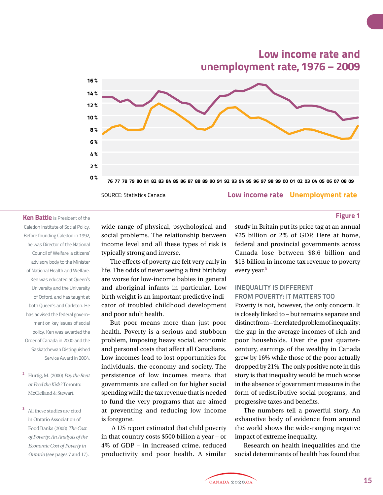**Low income rate Unemployment rate 0 % 8 % 10 % 12 % 14 % 16 % 4 % 6 % 2 %** 76 77 78 79 80 81 82 83 84 85 86 87 88 89 90 91 92 93 94 95 96 97 98 99 00 01 02 03 04 05 06 07 08 09 **unemployment rate, 1976 – 2009** SOURCE: Statistics Canada

## **Figure 1**

Caledon Institute of Social Policy. Before founding Caledon in 1992, he was Director of the National Council of Welfare, a citizens' advisory body to the Minister of National Health and Welfare. Ken was educated at Queen's University and the University of Oxford, and has taught at both Queen's and Carleton. He has advised the federal government on key issues of social policy. Ken was awarded the Order of Canada in 2000 and the Saskatchewan Distinguished Service Award in 2004.

**Ken Battle** is President of the

- **<sup>2</sup>** Hurtig, M. (2000) *Pay the Rent or Feed the Kids?* Toronto: McClelland & Stewart.
- **<sup>3</sup>** All these studies are cited in Ontario Association of Food Banks (2008) *The Cost of Poverty: An Analysis of the Economic Cost of Poverty in Ontario* (see pages 7 and 17).

wide range of physical, psychological and social problems. The relationship between income level and all these types of risk is typically strong and inverse.

The effects of poverty are felt very early in life. The odds of never seeing a first birthday are worse for low-income babies in general and aboriginal infants in particular. Low birth weight is an important predictive indicator of troubled childhood development and poor adult health.

But poor means more than just poor health. Poverty is a serious and stubborn problem, imposing heavy social, economic and personal costs that affect all Canadians. Low incomes lead to lost opportunities for individuals, the economy and society. The persistence of low incomes means that governments are called on for higher social spending while the tax revenue that is needed to fund the very programs that are aimed at preventing and reducing low income is foregone.

 A US report estimated that child poverty in that country costs \$500 billion a year – or 4% of GDP – in increased crime, reduced productivity and poor health. A similar study in Britain put its price tag at an annual £25 billion or 2% of GDP. Here at home, federal and provincial governments across Canada lose between \$8.6 billion and \$13 billion in income tax revenue to poverty every year.**<sup>3</sup>**

**Low income rate and** 

## **INEQUALITY IS DIFFERENT FROM POVERTY: IT MATTERS TOO**

Poverty is not, however, the only concern. It is closely linked to – but remains separate and distinct from – the related problem of inequality: the gap in the average incomes of rich and poor households. Over the past quartercentury, earnings of the wealthy in Canada grew by 16% while those of the poor actually dropped by 21%. The only positive note in this story is that inequality would be much worse in the absence of government measures in the form of redistributive social programs, and progressive taxes and benefits.

The numbers tell a powerful story. An exhaustive body of evidence from around the world shows the wide-ranging negative impact of extreme inequality.

Research on health inequalities and the social determinants of health has found that

.<br>CANADA 2020.CA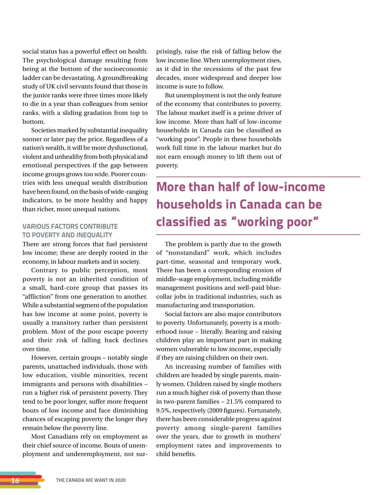social status has a powerful effect on health. The psychological damage resulting from being at the bottom of the socioeconomic ladder can be devastating. A groundbreaking study of UK civil servants found that those in the junior ranks were three times more likely to die in a year than colleagues from senior ranks, with a sliding gradation from top to bottom.

Societies marked by substantial inequality sooner or later pay the price. Regardless of a nation's wealth, it will be more dysfunctional, violent and unhealthy from both physical and emotional perspectives if the gap between income groups grows too wide. Poorer countries with less unequal wealth distribution have been found, on the basis of wide-ranging indicators, to be more healthy and happy than richer, more unequal nations.

## **VARIOUS FACTORS CONTRIBUTE TO POVERTY AND INEQUALITY**

There are strong forces that fuel persistent low income; these are deeply rooted in the economy, in labour markets and in society.

Contrary to public perception, most poverty is not an inherited condition of a small, hard-core group that passes its "affliction" from one generation to another. While a substantial segment of the population has low income at some point, poverty is usually a transitory rather than persistent problem. Most of the poor escape poverty and their risk of falling back declines over time.

However, certain groups – notably single parents, unattached individuals, those with low education, visible minorities, recent immigrants and persons with disabilities – run a higher risk of persistent poverty. They tend to be poor longer, suffer more frequent bouts of low income and face diminishing chances of escaping poverty the longer they remain below the poverty line.

Most Canadians rely on employment as their chief source of income. Bouts of unemployment and underemployment, not surprisingly, raise the risk of falling below the low income line. When unemployment rises, as it did in the recessions of the past few decades, more widespread and deeper low income is sure to follow.

But unemployment is not the only feature of the economy that contributes to poverty. The labour market itself is a prime driver of low income. More than half of low-income households in Canada can be classified as "working poor". People in these households work full time in the labour market but do not earn enough money to lift them out of poverty.

## **More than half of low-income households in Canada can be classified as "working poor"**

The problem is partly due to the growth of "nonstandard" work, which includes part-time, seasonal and temporary work. There has been a corresponding erosion of middle-wage employment, including middle management positions and well-paid bluecollar jobs in traditional industries, such as manufacturing and transportation.

Social factors are also major contributors to poverty. Unfortunately, poverty is a motherhood issue − literally. Bearing and raising children play an important part in making women vulnerable to low income, especially if they are raising children on their own.

An increasing number of families with children are headed by single parents, mainly women. Children raised by single mothers run a much higher risk of poverty than those in two-parent families − 21.5% compared to 9.5%, respectively (2009 figures). Fortunately, there has been considerable progress against poverty among single-parent families over the years, due to growth in mothers' employment rates and improvements to child benefits.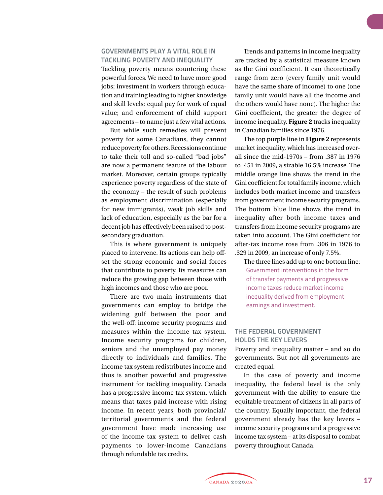### **GOVERNMENTS PLAY A VITAL ROLE IN TACKLING POVERTY AND INEQUALITY**

Tackling poverty means countering these powerful forces. We need to have more good jobs; investment in workers through education and training leading to higher knowledge and skill levels; equal pay for work of equal value; and enforcement of child support agreements – to name just a few vital actions.

But while such remedies will prevent poverty for some Canadians, they cannot reduce poverty for others. Recessions continue to take their toll and so-called "bad jobs" are now a permanent feature of the labour market. Moreover, certain groups typically experience poverty regardless of the state of the economy – the result of such problems as employment discrimination (especially for new immigrants), weak job skills and lack of education, especially as the bar for a decent job has effectively been raised to postsecondary graduation.

This is where government is uniquely placed to intervene. Its actions can help offset the strong economic and social forces that contribute to poverty. Its measures can reduce the growing gap between those with high incomes and those who are poor.

There are two main instruments that governments can employ to bridge the widening gulf between the poor and the well-off: income security programs and measures within the income tax system. Income security programs for children, seniors and the unemployed pay money directly to individuals and families. The income tax system redistributes income and thus is another powerful and progressive instrument for tackling inequality. Canada has a progressive income tax system, which means that taxes paid increase with rising income. In recent years, both provincial/ territorial governments and the federal government have made increasing use of the income tax system to deliver cash payments to lower-income Canadians through refundable tax credits.

Trends and patterns in income inequality are tracked by a statistical measure known as the Gini coefficient. It can theoretically range from zero (every family unit would have the same share of income) to one (one family unit would have all the income and the others would have none). The higher the Gini coefficient, the greater the degree of income inequality. **Figure 2** tracks inequality in Canadian families since 1976.

The top purple line in **Figure 2** represents market inequality, which has increased overall since the mid-1970s – from .387 in 1976 to .451 in 2009, a sizable 16.5% increase. The middle orange line shows the trend in the Gini coefficient for total family income, which includes both market income and transfers from government income security programs. The bottom blue line shows the trend in inequality after both income taxes and transfers from income security programs are taken into account. The Gini coefficient for after-tax income rose from .306 in 1976 to .329 in 2009, an increase of only 7.5%.

The three lines add up to one bottom line: Government interventions in the form of transfer payments and progressive income taxes reduce market income inequality derived from employment earnings and investment.

## **THE FEDERAL GOVERNMENT HOLDS THE KEY LEVERS**

Poverty and inequality matter – and so do governments. But not all governments are created equal.

In the case of poverty and income inequality, the federal level is the only government with the ability to ensure the equitable treatment of citizens in all parts of the country. Equally important, the federal government already has the key levers – income security programs and a progressive income tax system – at its disposal to combat poverty throughout Canada.

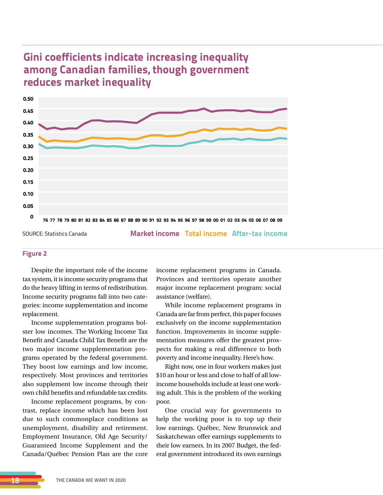## **Gini coefficients indicate increasing inequality among Canadian families, though government reduces market inequality**



**Market income Total income After-tax income**

#### **Figure 2**

Despite the important role of the income tax system, it is income security programs that do the heavy lifting in terms of redistribution. Income security programs fall into two categories: income supplementation and income replacement.

Income supplementation programs bolster low incomes. The Working Income Tax Benefit and Canada Child Tax Benefit are the two major income supplementation programs operated by the federal government. They boost low earnings and low income, respectively. Most provinces and territories also supplement low income through their own child benefits and refundable tax credits.

Income replacement programs, by contrast, replace income which has been lost due to such commonplace conditions as unemployment, disability and retirement. Employment Insurance, Old Age Security/ Guaranteed Income Supplement and the Canada/Québec Pension Plan are the core income replacement programs in Canada. Provinces and territories operate another major income replacement program: social assistance (welfare).

While income replacement programs in Canada are far from perfect, this paper focuses exclusively on the income supplementation function. Improvements in income supplementation measures offer the greatest prospects for making a real difference to both poverty and income inequality. Here's how.

Right now, one in four workers makes just \$10 an hour or less and close to half of all lowincome households include at least one working adult. This is the problem of the working poor.

One crucial way for governments to help the working poor is to top up their low earnings. Québec, New Brunswick and Saskatchewan offer earnings supplements to their low earners. In its 2007 Budget, the federal government introduced its own earnings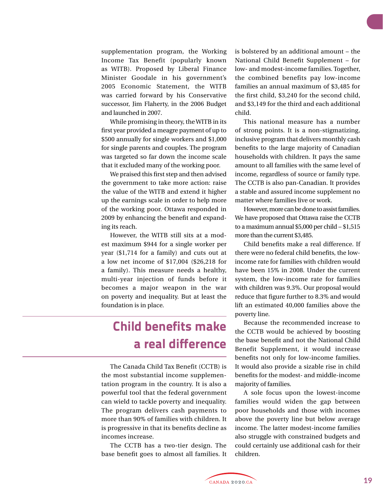supplementation program, the Working Income Tax Benefit (popularly known as WITB). Proposed by Liberal Finance Minister Goodale in his government's 2005 Economic Statement, the WITB was carried forward by his Conservative successor, Jim Flaherty, in the 2006 Budget and launched in 2007.

While promising in theory, the WITB in its first year provided a meagre payment of up to \$500 annually for single workers and \$1,000 for single parents and couples. The program was targeted so far down the income scale that it excluded many of the working poor.

We praised this first step and then advised the government to take more action: raise the value of the WITB and extend it higher up the earnings scale in order to help more of the working poor. Ottawa responded in 2009 by enhancing the benefit and expanding its reach.

However, the WITB still sits at a modest maximum \$944 for a single worker per year (\$1,714 for a family) and cuts out at a low net income of \$17,004 (\$26,218 for a family). This measure needs a healthy, multi-year injection of funds before it becomes a major weapon in the war on poverty and inequality. But at least the foundation is in place.

## **Child benefits make a real difference**

The Canada Child Tax Benefit (CCTB) is the most substantial income supplementation program in the country. It is also a powerful tool that the federal government can wield to tackle poverty and inequality. The program delivers cash payments to more than 90% of families with children. It is progressive in that its benefits decline as incomes increase.

The CCTB has a two-tier design. The base benefit goes to almost all families. It is bolstered by an additional amount – the National Child Benefit Supplement – for low- and modest-income families. Together, the combined benefits pay low-income families an annual maximum of \$3,485 for the first child, \$3,240 for the second child, and \$3,149 for the third and each additional child.

This national measure has a number of strong points. It is a non-stigmatizing, inclusive program that delivers monthly cash benefits to the large majority of Canadian households with children. It pays the same amount to all families with the same level of income, regardless of source or family type. The CCTB is also pan-Canadian. It provides a stable and assured income supplement no matter where families live or work.

However, more can be done to assist families. We have proposed that Ottawa raise the CCTB to a maximum annual \$5,000 per child − \$1,515 more than the current \$3,485.

Child benefits make a real difference. If there were no federal child benefits, the lowincome rate for families with children would have been 15% in 2008. Under the current system, the low-income rate for families with children was 9.3%. Our proposal would reduce that figure further to 8.3% and would lift an estimated 40,000 families above the poverty line.

Because the recommended increase to the CCTB would be achieved by boosting the base benefit and not the National Child Benefit Supplement, it would increase benefits not only for low-income families. It would also provide a sizable rise in child benefits for the modest- and middle-income majority of families.

A sole focus upon the lowest-income families would widen the gap between poor households and those with incomes above the poverty line but below average income. The latter modest-income families also struggle with constrained budgets and could certainly use additional cash for their children.

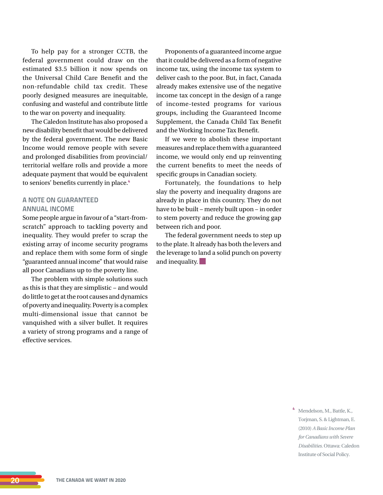To help pay for a stronger CCTB, the federal government could draw on the estimated \$3.5 billion it now spends on the Universal Child Care Benefit and the non-refundable child tax credit. These poorly designed measures are inequitable, confusing and wasteful and contribute little to the war on poverty and inequality.

The Caledon Institute has also proposed a new disability benefit that would be delivered by the federal government. The new Basic Income would remove people with severe and prolonged disabilities from provincial/ territorial welfare rolls and provide a more adequate payment that would be equivalent to seniors' benefits currently in place.**<sup>4</sup>**

## **A NOTE ON GUARANTEED ANNUAL INCOME**

Some people argue in favour of a "start-fromscratch" approach to tackling poverty and inequality. They would prefer to scrap the existing array of income security programs and replace them with some form of single "guaranteed annual income" that would raise all poor Canadians up to the poverty line.

The problem with simple solutions such as this is that they are simplistic − and would do little to get at the root causes and dynamics of poverty and inequality. Poverty is a complex multi-dimensional issue that cannot be vanquished with a silver bullet. It requires a variety of strong programs and a range of effective services.

Proponents of a guaranteed income argue that it could be delivered as a form of negative income tax, using the income tax system to deliver cash to the poor. But, in fact, Canada already makes extensive use of the negative income tax concept in the design of a range of income-tested programs for various groups, including the Guaranteed Income Supplement, the Canada Child Tax Benefit and the Working Income Tax Benefit.

If we were to abolish these important measures and replace them with a guaranteed income, we would only end up reinventing the current benefits to meet the needs of specific groups in Canadian society.

Fortunately, the foundations to help slay the poverty and inequality dragons are already in place in this country. They do not have to be built − merely built upon − in order to stem poverty and reduce the growing gap between rich and poor.

The federal government needs to step up to the plate. It already has both the levers and the leverage to land a solid punch on poverty and inequality.

> **<sup>4</sup>** Mendelson, M., Battle, K., Torjman, S. & Lightman, E. (2010) *A Basic Income Plan for Canadians with Severe Disabilities.* Ottawa: Caledon Institute of Social Policy.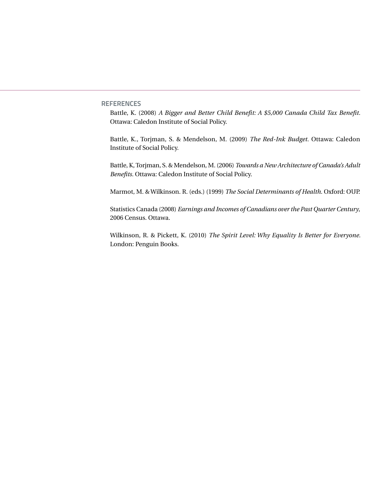**REFERENCES**

Battle, K. (2008) *A Bigger and Better Child Benefit: A \$5,000 Canada Child Tax Benefit.*  Ottawa: Caledon Institute of Social Policy.

Battle, K., Torjman, S. & Mendelson, M. (2009) *The Red-Ink Budget.* Ottawa: Caledon Institute of Social Policy.

Battle, K, Torjman, S. & Mendelson, M. (2006) *Towards a New Architecture of Canada's Adult Benefits.* Ottawa: Caledon Institute of Social Policy.

Marmot, M. & Wilkinson. R. (eds.) (1999) *The Social Determinants of Health.* Oxford: OUP.

Statistics Canada (2008) *Earnings and Incomes of Canadians over the Past Quarter Century*, 2006 Census. Ottawa.

Wilkinson, R. & Pickett, K. (2010) *The Spirit Level: Why Equality Is Better for Everyone.*  London: Penguin Books.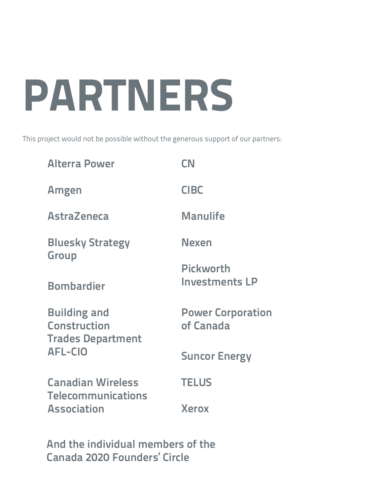# **PARTNERS**

This project would not be possible without the generous support of our partners:

| <b>Alterra Power</b>                                                   | <b>CN</b>                                 |  |
|------------------------------------------------------------------------|-------------------------------------------|--|
| Amgen                                                                  | <b>CIBC</b>                               |  |
| <b>AstraZeneca</b>                                                     | <b>Manulife</b>                           |  |
| <b>Bluesky Strategy</b><br><b>Group</b>                                | Nexen                                     |  |
| <b>Bombardier</b>                                                      | <b>Pickworth</b><br><b>Investments LP</b> |  |
| <b>Building and</b><br><b>Construction</b><br><b>Trades Department</b> | <b>Power Corporation</b><br>of Canada     |  |
| <b>AFL-CIO</b>                                                         | <b>Suncor Energy</b>                      |  |
| <b>Canadian Wireless</b><br><b>Telecommunications</b>                  | <b>TELUS</b>                              |  |
| <b>Association</b>                                                     | <b>Xerox</b>                              |  |

**And the individual members of the Canada 2020 Founders' Circle**